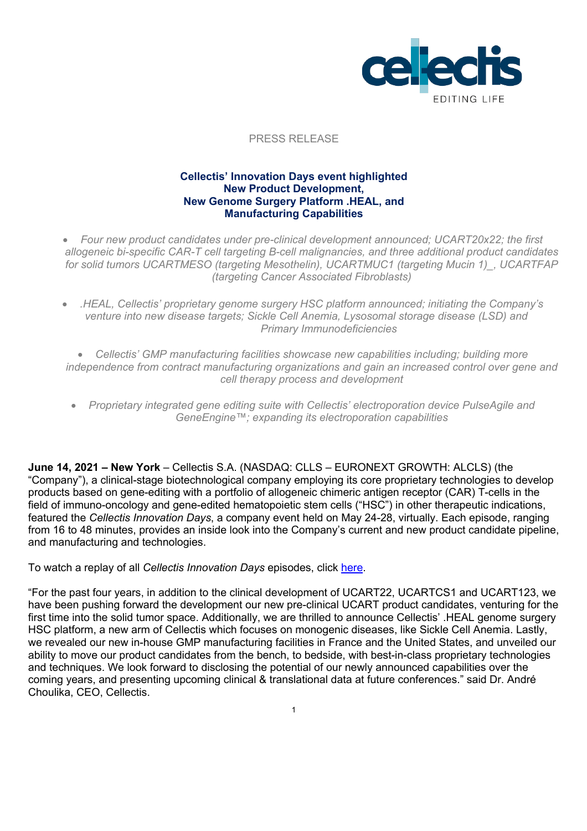

#### PRESS RELEASE

### **Cellectis' Innovation Days event highlighted New Product Development, New Genome Surgery Platform .HEAL, and Manufacturing Capabilities**

- *Four new product candidates under pre-clinical development announced; UCART20x22; the first allogeneic bi-specific CAR-T cell targeting B-cell malignancies, and three additional product candidates for solid tumors UCARTMESO (targeting Mesothelin), UCARTMUC1 (targeting Mucin 1)\_, UCARTFAP (targeting Cancer Associated Fibroblasts)*
- *.HEAL, Cellectis' proprietary genome surgery HSC platform announced; initiating the Company's venture into new disease targets; Sickle Cell Anemia, Lysosomal storage disease (LSD) and Primary Immunodeficiencies*
- *Cellectis' GMP manufacturing facilities showcase new capabilities including; building more independence from contract manufacturing organizations and gain an increased control over gene and cell therapy process and development*
- *Proprietary integrated gene editing suite with Cellectis' electroporation device PulseAgile and GeneEngine™; expanding its electroporation capabilities*

**June 14, 2021 – New York** – Cellectis S.A. (NASDAQ: CLLS – EURONEXT GROWTH: ALCLS) (the "Company"), a clinical-stage biotechnological company employing its core proprietary technologies to develop products based on gene-editing with a portfolio of allogeneic chimeric antigen receptor (CAR) T-cells in the field of immuno-oncology and gene-edited hematopoietic stem cells ("HSC") in other therapeutic indications, featured the *Cellectis Innovation Days*, a company event held on May 24-28, virtually. Each episode, ranging from 16 to 48 minutes, provides an inside look into the Company's current and new product candidate pipeline, and manufacturing and technologies.

#### To watch a replay of all *Cellectis Innovation Days* episodes, click here.

"For the past four years, in addition to the clinical development of UCART22, UCARTCS1 and UCART123, we have been pushing forward the development our new pre-clinical UCART product candidates, venturing for the first time into the solid tumor space. Additionally, we are thrilled to announce Cellectis' .HEAL genome surgery HSC platform, a new arm of Cellectis which focuses on monogenic diseases, like Sickle Cell Anemia. Lastly, we revealed our new in-house GMP manufacturing facilities in France and the United States, and unveiled our ability to move our product candidates from the bench, to bedside, with best-in-class proprietary technologies and techniques. We look forward to disclosing the potential of our newly announced capabilities over the coming years, and presenting upcoming clinical & translational data at future conferences." said Dr. André Choulika, CEO, Cellectis.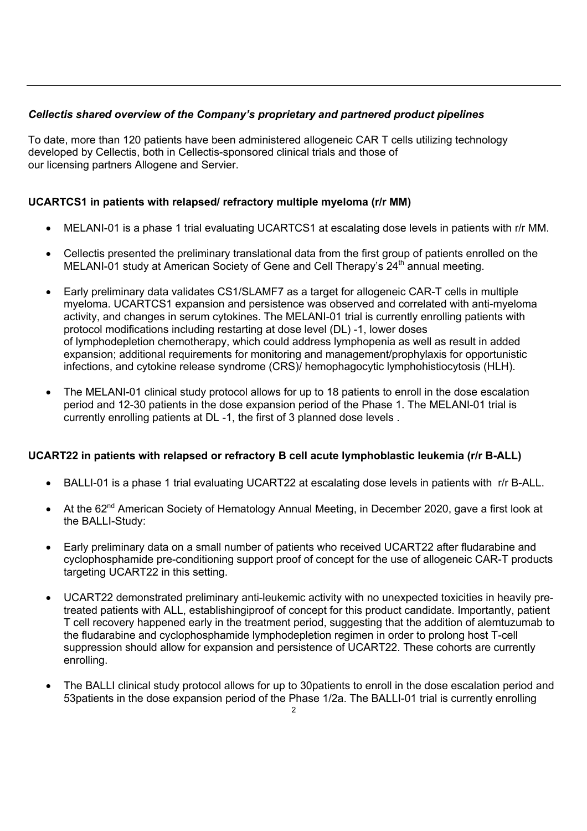# *Cellectis shared overview of the Company's proprietary and partnered product pipelines*

To date, more than 120 patients have been administered allogeneic CAR T cells utilizing technology developed by Cellectis, both in Cellectis-sponsored clinical trials and those of our licensing partners Allogene and Servier.

# **UCARTCS1 in patients with relapsed/ refractory multiple myeloma (r/r MM)**

- MELANI-01 is a phase 1 trial evaluating UCARTCS1 at escalating dose levels in patients with r/r MM.
- Cellectis presented the preliminary translational data from the first group of patients enrolled on the MELANI-01 study at American Society of Gene and Cell Therapy's  $24<sup>th</sup>$  annual meeting.
- Early preliminary data validates CS1/SLAMF7 as a target for allogeneic CAR-T cells in multiple myeloma. UCARTCS1 expansion and persistence was observed and correlated with anti-myeloma activity, and changes in serum cytokines. The MELANI-01 trial is currently enrolling patients with protocol modifications including restarting at dose level (DL) -1, lower doses of lymphodepletion chemotherapy, which could address lymphopenia as well as result in added expansion; additional requirements for monitoring and management/prophylaxis for opportunistic infections, and cytokine release syndrome (CRS)/ hemophagocytic lymphohistiocytosis (HLH).
- The MELANI-01 clinical study protocol allows for up to 18 patients to enroll in the dose escalation period and 12-30 patients in the dose expansion period of the Phase 1. The MELANI-01 trial is currently enrolling patients at DL -1, the first of 3 planned dose levels .

### **UCART22 in patients with relapsed or refractory B cell acute lymphoblastic leukemia (r/r B-ALL)**

- BALLI-01 is a phase 1 trial evaluating UCART22 at escalating dose levels in patients with r/r B-ALL.
- At the 62<sup>nd</sup> American Society of Hematology Annual Meeting, in December 2020, gave a first look at the BALLI-Study:
- Early preliminary data on a small number of patients who received UCART22 after fludarabine and cyclophosphamide pre-conditioning support proof of concept for the use of allogeneic CAR-T products targeting UCART22 in this setting.
- UCART22 demonstrated preliminary anti-leukemic activity with no unexpected toxicities in heavily pretreated patients with ALL, establishingiproof of concept for this product candidate. Importantly, patient T cell recovery happened early in the treatment period, suggesting that the addition of alemtuzumab to the fludarabine and cyclophosphamide lymphodepletion regimen in order to prolong host T-cell suppression should allow for expansion and persistence of UCART22. These cohorts are currently enrolling.
- The BALLI clinical study protocol allows for up to 30patients to enroll in the dose escalation period and 53patients in the dose expansion period of the Phase 1/2a. The BALLI-01 trial is currently enrolling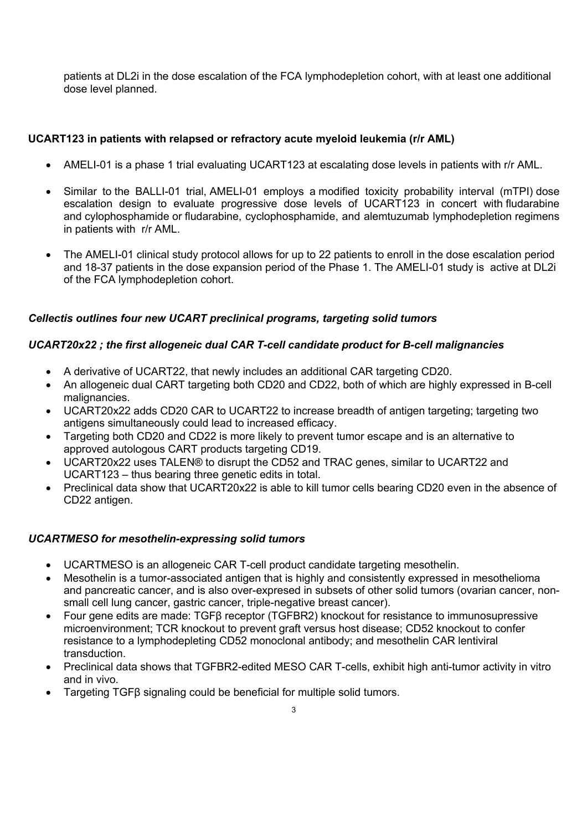patients at DL2i in the dose escalation of the FCA lymphodepletion cohort, with at least one additional dose level planned.

# **UCART123 in patients with relapsed or refractory acute myeloid leukemia (r/r AML)**

- AMELI-01 is a phase 1 trial evaluating UCART123 at escalating dose levels in patients with r/r AML.
- Similar to the BALLI-01 trial, AMELI-01 employs a modified toxicity probability interval (mTPI) dose escalation design to evaluate progressive dose levels of UCART123 in concert with fludarabine and cylophosphamide or fludarabine, cyclophosphamide, and alemtuzumab lymphodepletion regimens in patients with r/r AML.
- The AMELI-01 clinical study protocol allows for up to 22 patients to enroll in the dose escalation period and 18-37 patients in the dose expansion period of the Phase 1. The AMELI-01 study is active at DL2i of the FCA lymphodepletion cohort.

## *Cellectis outlines four new UCART preclinical programs, targeting solid tumors*

### *UCART20x22 ; the first allogeneic dual CAR T-cell candidate product for B-cell malignancies*

- A derivative of UCART22, that newly includes an additional CAR targeting CD20.
- An allogeneic dual CART targeting both CD20 and CD22, both of which are highly expressed in B-cell malignancies.
- UCART20x22 adds CD20 CAR to UCART22 to increase breadth of antigen targeting; targeting two antigens simultaneously could lead to increased efficacy.
- Targeting both CD20 and CD22 is more likely to prevent tumor escape and is an alternative to approved autologous CART products targeting CD19.
- UCART20x22 uses TALEN® to disrupt the CD52 and TRAC genes, similar to UCART22 and UCART123 – thus bearing three genetic edits in total.
- Preclinical data show that UCART20x22 is able to kill tumor cells bearing CD20 even in the absence of CD22 antigen.

### *UCARTMESO for mesothelin-expressing solid tumors*

- UCARTMESO is an allogeneic CAR T-cell product candidate targeting mesothelin.
- Mesothelin is a tumor-associated antigen that is highly and consistently expressed in mesothelioma and pancreatic cancer, and is also over-expresed in subsets of other solid tumors (ovarian cancer, nonsmall cell lung cancer, gastric cancer, triple-negative breast cancer).
- Four gene edits are made: TGFβ receptor (TGFBR2) knockout for resistance to immunosupressive microenvironment; TCR knockout to prevent graft versus host disease; CD52 knockout to confer resistance to a lymphodepleting CD52 monoclonal antibody; and mesothelin CAR lentiviral transduction.
- Preclinical data shows that TGFBR2-edited MESO CAR T-cells, exhibit high anti-tumor activity in vitro and in vivo.
- Targeting TGFβ signaling could be beneficial for multiple solid tumors.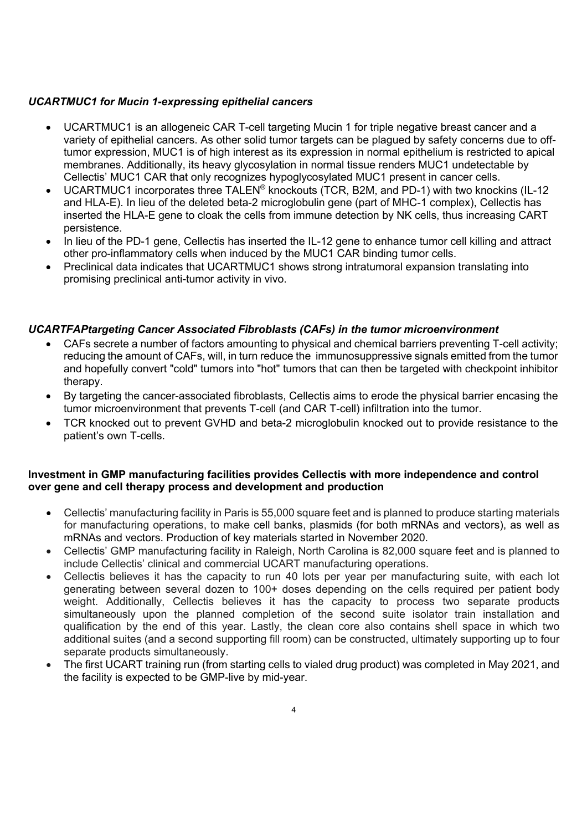## *UCARTMUC1 for Mucin 1-expressing epithelial cancers*

- UCARTMUC1 is an allogeneic CAR T-cell targeting Mucin 1 for triple negative breast cancer and a variety of epithelial cancers. As other solid tumor targets can be plagued by safety concerns due to offtumor expression, MUC1 is of high interest as its expression in normal epithelium is restricted to apical membranes. Additionally, its heavy glycosylation in normal tissue renders MUC1 undetectable by Cellectis' MUC1 CAR that only recognizes hypoglycosylated MUC1 present in cancer cells.
- UCARTMUC1 incorporates three TALEN® knockouts (TCR, B2M, and PD-1) with two knockins (IL-12 and HLA-E). In lieu of the deleted beta-2 microglobulin gene (part of MHC-1 complex), Cellectis has inserted the HLA-E gene to cloak the cells from immune detection by NK cells, thus increasing CART persistence.
- In lieu of the PD-1 gene, Cellectis has inserted the IL-12 gene to enhance tumor cell killing and attract other pro-inflammatory cells when induced by the MUC1 CAR binding tumor cells.
- Preclinical data indicates that UCARTMUC1 shows strong intratumoral expansion translating into promising preclinical anti-tumor activity in vivo.

## *UCARTFAPtargeting Cancer Associated Fibroblasts (CAFs) in the tumor microenvironment*

- CAFs secrete a number of factors amounting to physical and chemical barriers preventing T-cell activity; reducing the amount of CAFs, will, in turn reduce the immunosuppressive signals emitted from the tumor and hopefully convert "cold" tumors into "hot" tumors that can then be targeted with checkpoint inhibitor therapy.
- By targeting the cancer-associated fibroblasts, Cellectis aims to erode the physical barrier encasing the tumor microenvironment that prevents T-cell (and CAR T-cell) infiltration into the tumor.
- TCR knocked out to prevent GVHD and beta-2 microglobulin knocked out to provide resistance to the patient's own T-cells.

### **Investment in GMP manufacturing facilities provides Cellectis with more independence and control over gene and cell therapy process and development and production**

- Cellectis' manufacturing facility in Paris is 55,000 square feet and is planned to produce starting materials for manufacturing operations, to make cell banks, plasmids (for both mRNAs and vectors), as well as mRNAs and vectors. Production of key materials started in November 2020.
- Cellectis' GMP manufacturing facility in Raleigh, North Carolina is 82,000 square feet and is planned to include Cellectis' clinical and commercial UCART manufacturing operations.
- Cellectis believes it has the capacity to run 40 lots per year per manufacturing suite, with each lot generating between several dozen to 100+ doses depending on the cells required per patient body weight. Additionally, Cellectis believes it has the capacity to process two separate products simultaneously upon the planned completion of the second suite isolator train installation and qualification by the end of this year. Lastly, the clean core also contains shell space in which two additional suites (and a second supporting fill room) can be constructed, ultimately supporting up to four separate products simultaneously.
- The first UCART training run (from starting cells to vialed drug product) was completed in May 2021, and the facility is expected to be GMP-live by mid-year.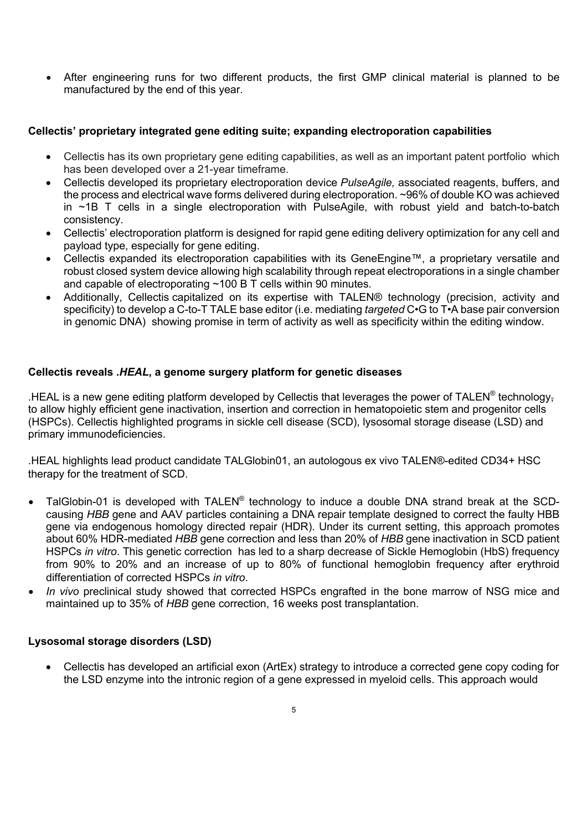• After engineering runs for two different products, the first GMP clinical material is planned to be manufactured by the end of this year.

### **Cellectis' proprietary integrated gene editing suite; expanding electroporation capabilities**

- Cellectis has its own proprietary gene editing capabilities, as well as an important patent portfolio which has been developed over a 21-year timeframe.
- Cellectis developed its proprietary electroporation device *PulseAgile,* associated reagents, buffers, and the process and electrical wave forms delivered during electroporation. ~96% of double KO was achieved in ~1B T cells in a single electroporation with PulseAgile, with robust yield and batch-to-batch consistency.
- Cellectis' electroporation platform is designed for rapid gene editing delivery optimization for any cell and payload type, especially for gene editing.
- Cellectis expanded its electroporation capabilities with its GeneEngine™, a proprietary versatile and robust closed system device allowing high scalability through repeat electroporations in a single chamber and capable of electroporating ~100 B T cells within 90 minutes.
- Additionally, Cellectis capitalized on its expertise with TALEN® technology (precision, activity and specificity) to develop a C-to-T TALE base editor (i.e. mediating *targeted* C•G to T•A base pair conversion in genomic DNA) showing promise in term of activity as well as specificity within the editing window.

## **Cellectis reveals .***HEAL***, a genome surgery platform for genetic diseases**

.HEAL is a new gene editing platform developed by Cellectis that leverages the power of TALEN® technologyto allow highly efficient gene inactivation, insertion and correction in hematopoietic stem and progenitor cells (HSPCs). Cellectis highlighted programs in sickle cell disease (SCD), lysosomal storage disease (LSD) and primary immunodeficiencies.

.HEAL highlights lead product candidate TALGlobin01, an autologous ex vivo TALEN®-edited CD34+ HSC therapy for the treatment of SCD.

- TalGlobin-01 is developed with TALEN® technology to induce a double DNA strand break at the SCDcausing *HBB* gene and AAV particles containing a DNA repair template designed to correct the faulty HBB gene via endogenous homology directed repair (HDR). Under its current setting, this approach promotes about 60% HDR-mediated *HBB* gene correction and less than 20% of *HBB* gene inactivation in SCD patient HSPCs *in vitro*. This genetic correction has led to a sharp decrease of Sickle Hemoglobin (HbS) frequency from 90% to 20% and an increase of up to 80% of functional hemoglobin frequency after erythroid differentiation of corrected HSPCs *in vitro*.
- *In vivo* preclinical study showed that corrected HSPCs engrafted in the bone marrow of NSG mice and maintained up to 35% of *HBB* gene correction, 16 weeks post transplantation.

### **Lysosomal storage disorders (LSD)**

• Cellectis has developed an artificial exon (ArtEx) strategy to introduce a corrected gene copy coding for the LSD enzyme into the intronic region of a gene expressed in myeloid cells. This approach would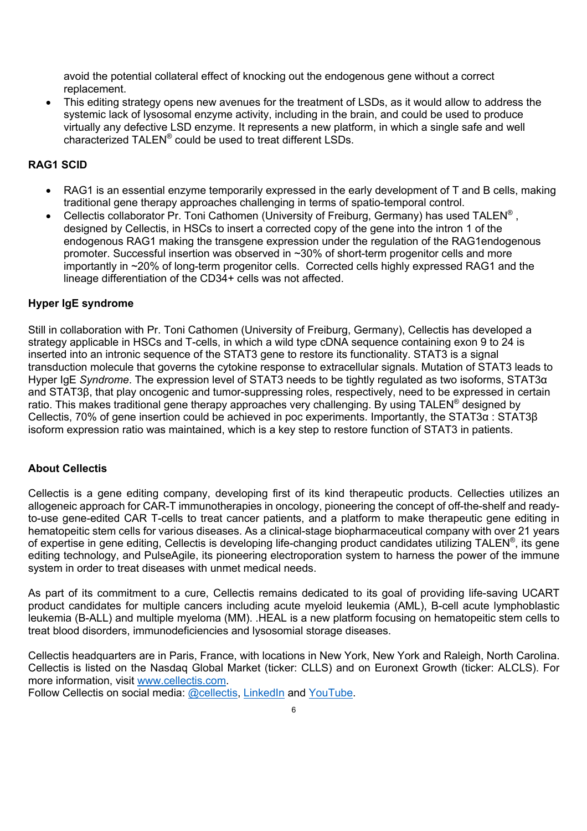avoid the potential collateral effect of knocking out the endogenous gene without a correct replacement.

• This editing strategy opens new avenues for the treatment of LSDs, as it would allow to address the systemic lack of lysosomal enzyme activity, including in the brain, and could be used to produce virtually any defective LSD enzyme. It represents a new platform, in which a single safe and well characterized TALEN® could be used to treat different LSDs.

### **RAG1 SCID**

- RAG1 is an essential enzyme temporarily expressed in the early development of T and B cells, making traditional gene therapy approaches challenging in terms of spatio-temporal control.
- Cellectis collaborator Pr. Toni Cathomen (University of Freiburg, Germany) has used TALEN<sup>®</sup>, designed by Cellectis, in HSCs to insert a corrected copy of the gene into the intron 1 of the endogenous RAG1 making the transgene expression under the regulation of the RAG1endogenous promoter. Successful insertion was observed in ~30% of short-term progenitor cells and more importantly in ~20% of long-term progenitor cells. Corrected cells highly expressed RAG1 and the lineage differentiation of the CD34+ cells was not affected.

### **Hyper IgE syndrome**

Still in collaboration with Pr. Toni Cathomen (University of Freiburg, Germany), Cellectis has developed a strategy applicable in HSCs and T-cells, in which a wild type cDNA sequence containing exon 9 to 24 is inserted into an intronic sequence of the STAT3 gene to restore its functionality. STAT3 is a signal transduction molecule that governs the cytokine response to extracellular signals. Mutation of STAT3 leads to Hyper IgE *Syndrome*. The expression level of STAT3 needs to be tightly regulated as two isoforms, STAT3α and STAT3β, that play oncogenic and tumor-suppressing roles, respectively, need to be expressed in certain ratio. This makes traditional gene therapy approaches very challenging. By using TALEN® designed by Cellectis, 70% of gene insertion could be achieved in poc experiments. Importantly, the STAT3α : STAT3β isoform expression ratio was maintained, which is a key step to restore function of STAT3 in patients.

### **About Cellectis**

Cellectis is a gene editing company, developing first of its kind therapeutic products. Cellecties utilizes an allogeneic approach for CAR-T immunotherapies in oncology, pioneering the concept of off-the-shelf and readyto-use gene-edited CAR T-cells to treat cancer patients, and a platform to make therapeutic gene editing in hematopeitic stem cells for various diseases. As a clinical-stage biopharmaceutical company with over 21 years of expertise in gene editing, Cellectis is developing life-changing product candidates utilizing TALEN®, its gene editing technology, and PulseAgile, its pioneering electroporation system to harness the power of the immune system in order to treat diseases with unmet medical needs.

As part of its commitment to a cure, Cellectis remains dedicated to its goal of providing life-saving UCART product candidates for multiple cancers including acute myeloid leukemia (AML), B-cell acute lymphoblastic leukemia (B-ALL) and multiple myeloma (MM). .HEAL is a new platform focusing on hematopeitic stem cells to treat blood disorders, immunodeficiencies and lysosomial storage diseases.

Cellectis headquarters are in Paris, France, with locations in New York, New York and Raleigh, North Carolina. Cellectis is listed on the Nasdaq Global Market (ticker: CLLS) and on Euronext Growth (ticker: ALCLS). For more information, visit www.cellectis.com.

Follow Cellectis on social media: @cellectis, LinkedIn and YouTube.